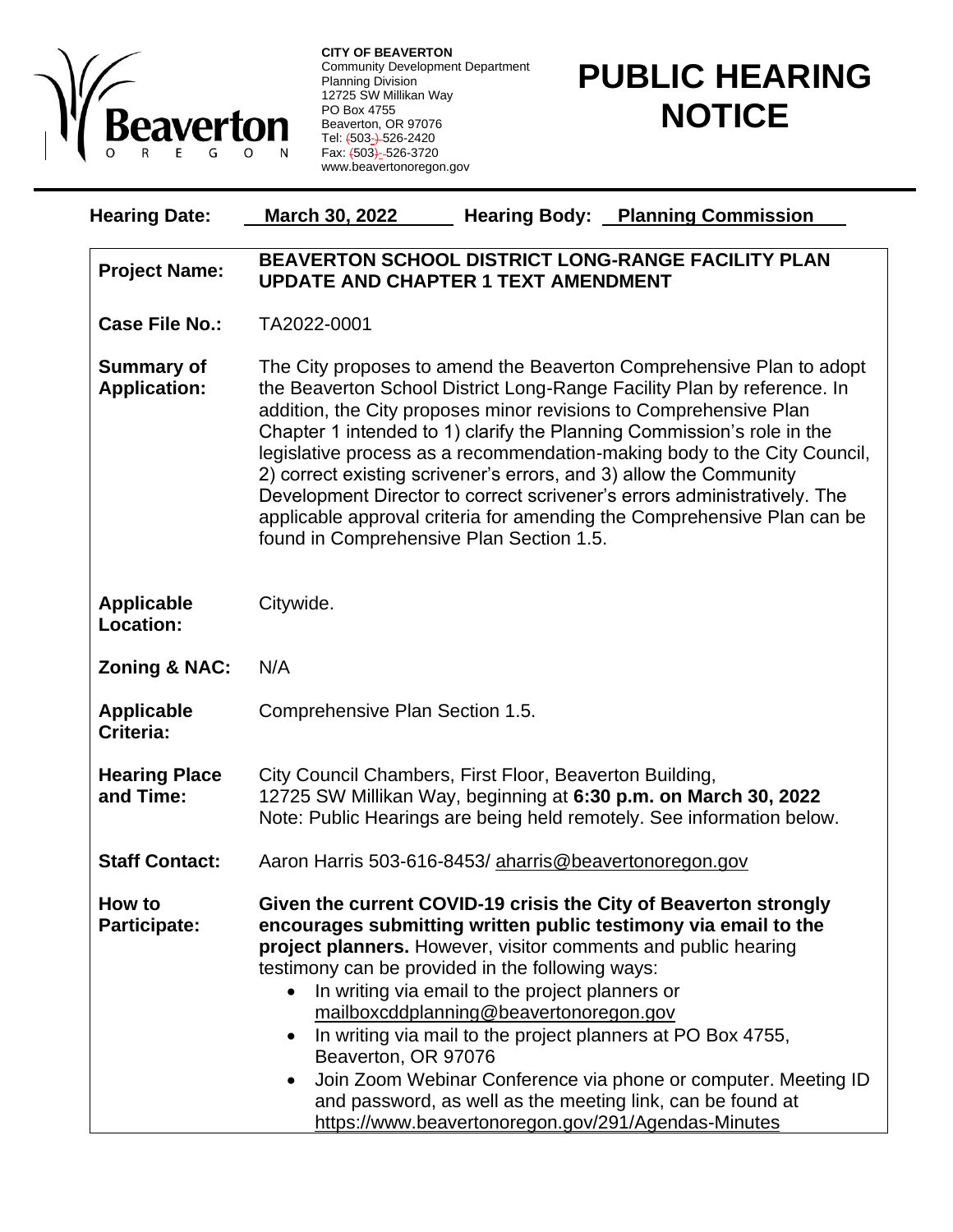

**CITY OF BEAVERTON** Community Development Department Planning Division 12725 SW Millikan Way PO Box 4755 Beaverton, OR 97076 Tel: <del>(</del>503<del>\_) </del>526-2420 Fax:  $\sqrt{(503)}$ -526-3720 www.beavertonoregon.gov

## **PUBLIC HEARING NOTICE**

| <b>Hearing Date:</b>                     | March 30, 2022<br><b>Hearing Body: Planning Commission</b>                                                                                                                                                                                                                                                                                                                                                                                                                                                                                                                                                                                          |
|------------------------------------------|-----------------------------------------------------------------------------------------------------------------------------------------------------------------------------------------------------------------------------------------------------------------------------------------------------------------------------------------------------------------------------------------------------------------------------------------------------------------------------------------------------------------------------------------------------------------------------------------------------------------------------------------------------|
| <b>Project Name:</b>                     | BEAVERTON SCHOOL DISTRICT LONG-RANGE FACILITY PLAN<br><b>UPDATE AND CHAPTER 1 TEXT AMENDMENT</b>                                                                                                                                                                                                                                                                                                                                                                                                                                                                                                                                                    |
| <b>Case File No.:</b>                    | TA2022-0001                                                                                                                                                                                                                                                                                                                                                                                                                                                                                                                                                                                                                                         |
| <b>Summary of</b><br><b>Application:</b> | The City proposes to amend the Beaverton Comprehensive Plan to adopt<br>the Beaverton School District Long-Range Facility Plan by reference. In<br>addition, the City proposes minor revisions to Comprehensive Plan<br>Chapter 1 intended to 1) clarify the Planning Commission's role in the<br>legislative process as a recommendation-making body to the City Council,<br>2) correct existing scrivener's errors, and 3) allow the Community<br>Development Director to correct scrivener's errors administratively. The<br>applicable approval criteria for amending the Comprehensive Plan can be<br>found in Comprehensive Plan Section 1.5. |
| <b>Applicable</b><br><b>Location:</b>    | Citywide.                                                                                                                                                                                                                                                                                                                                                                                                                                                                                                                                                                                                                                           |
| Zoning & NAC:                            | N/A                                                                                                                                                                                                                                                                                                                                                                                                                                                                                                                                                                                                                                                 |
| <b>Applicable</b><br>Criteria:           | Comprehensive Plan Section 1.5.                                                                                                                                                                                                                                                                                                                                                                                                                                                                                                                                                                                                                     |
| <b>Hearing Place</b><br>and Time:        | City Council Chambers, First Floor, Beaverton Building,<br>12725 SW Millikan Way, beginning at 6:30 p.m. on March 30, 2022<br>Note: Public Hearings are being held remotely. See information below.                                                                                                                                                                                                                                                                                                                                                                                                                                                 |
| <b>Staff Contact:</b>                    | Aaron Harris 503-616-8453/aharris@beavertonoregon.gov                                                                                                                                                                                                                                                                                                                                                                                                                                                                                                                                                                                               |
| How to<br><b>Participate:</b>            | Given the current COVID-19 crisis the City of Beaverton strongly<br>encourages submitting written public testimony via email to the<br>project planners. However, visitor comments and public hearing<br>testimony can be provided in the following ways:<br>In writing via email to the project planners or<br>mailboxcddplanning@beavertonoregon.gov<br>In writing via mail to the project planners at PO Box 4755,<br>$\bullet$<br>Beaverton, OR 97076<br>Join Zoom Webinar Conference via phone or computer. Meeting ID<br>and password, as well as the meeting link, can be found at<br>https://www.beavertonoregon.gov/291/Agendas-Minutes    |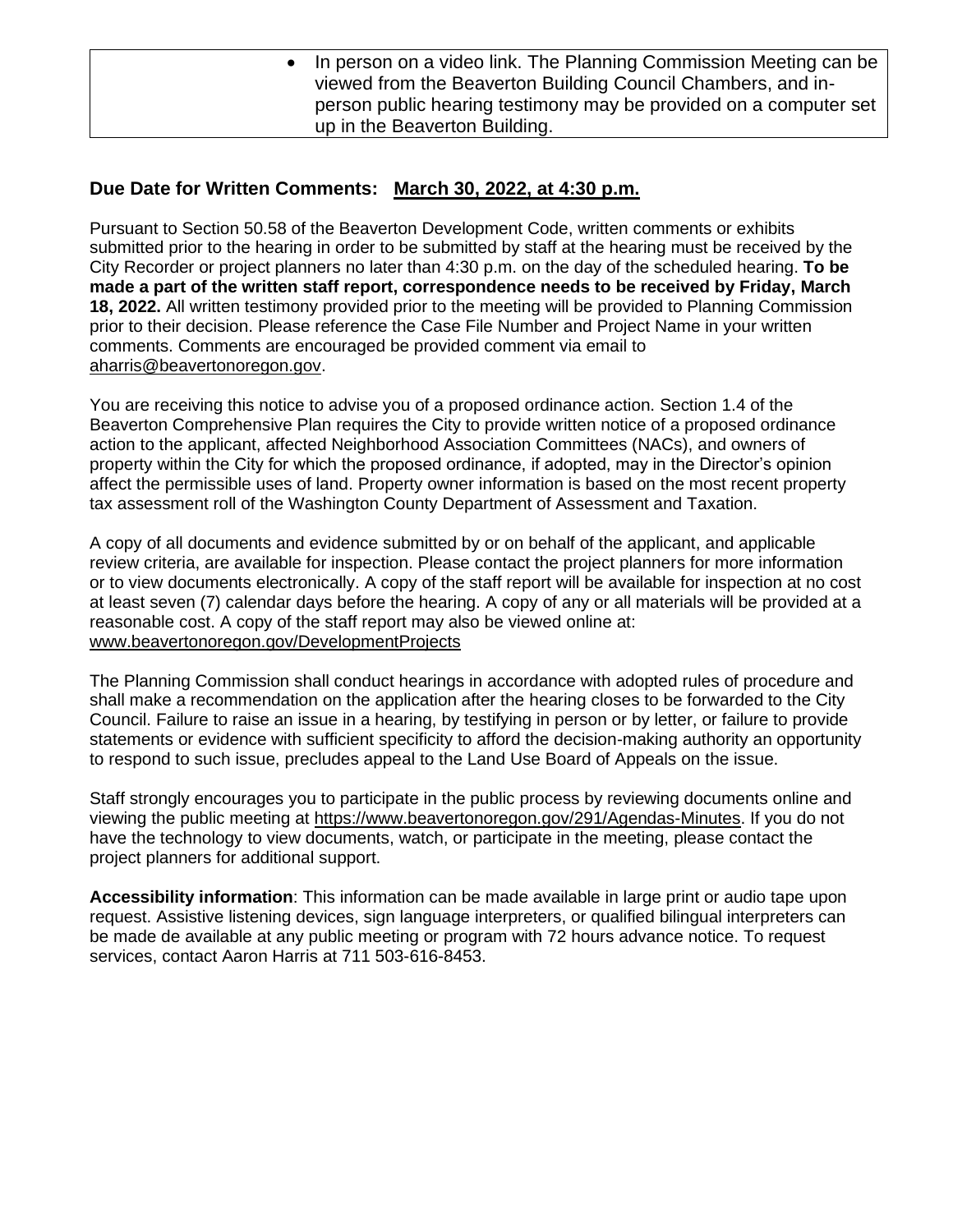• In person on a video link. The Planning Commission Meeting can be viewed from the Beaverton Building Council Chambers, and inperson public hearing testimony may be provided on a computer set up in the Beaverton Building.

## **Due Date for Written Comments: March 30, 2022, at 4:30 p.m.**

Pursuant to Section 50.58 of the Beaverton Development Code, written comments or exhibits submitted prior to the hearing in order to be submitted by staff at the hearing must be received by the City Recorder or project planners no later than 4:30 p.m. on the day of the scheduled hearing. **To be made a part of the written staff report, correspondence needs to be received by Friday, March 18, 2022.** All written testimony provided prior to the meeting will be provided to Planning Commission prior to their decision. Please reference the Case File Number and Project Name in your written comments. Comments are encouraged be provided comment via email to [aharris@beavertonoregon.gov.](mailto:aharris@beavertonoregon.gov)

You are receiving this notice to advise you of a proposed ordinance action. Section 1.4 of the Beaverton Comprehensive Plan requires the City to provide written notice of a proposed ordinance action to the applicant, affected Neighborhood Association Committees (NACs), and owners of property within the City for which the proposed ordinance, if adopted, may in the Director's opinion affect the permissible uses of land. Property owner information is based on the most recent property tax assessment roll of the Washington County Department of Assessment and Taxation.

A copy of all documents and evidence submitted by or on behalf of the applicant, and applicable review criteria, are available for inspection. Please contact the project planners for more information or to view documents electronically. A copy of the staff report will be available for inspection at no cost at least seven (7) calendar days before the hearing. A copy of any or all materials will be provided at a reasonable cost. A copy of the staff report may also be viewed online at: [www.beavertonoregon.gov/DevelopmentProjects](http://www.beavertonoregon.gov/DevelopmentProjects)

The Planning Commission shall conduct hearings in accordance with adopted rules of procedure and shall make a recommendation on the application after the hearing closes to be forwarded to the City Council. Failure to raise an issue in a hearing, by testifying in person or by letter, or failure to provide statements or evidence with sufficient specificity to afford the decision-making authority an opportunity to respond to such issue, precludes appeal to the Land Use Board of Appeals on the issue.

Staff strongly encourages you to participate in the public process by reviewing documents online and viewing the public meeting at [https://www.beavertonoregon.gov/291/Agendas-Minutes.](https://www.beavertonoregon.gov/291/Agendas-Minutes) If you do not have the technology to view documents, watch, or participate in the meeting, please contact the project planners for additional support.

**Accessibility information**: This information can be made available in large print or audio tape upon request. Assistive listening devices, sign language interpreters, or qualified bilingual interpreters can be made de available at any public meeting or program with 72 hours advance notice. To request services, contact Aaron Harris at 711 503-616-8453.